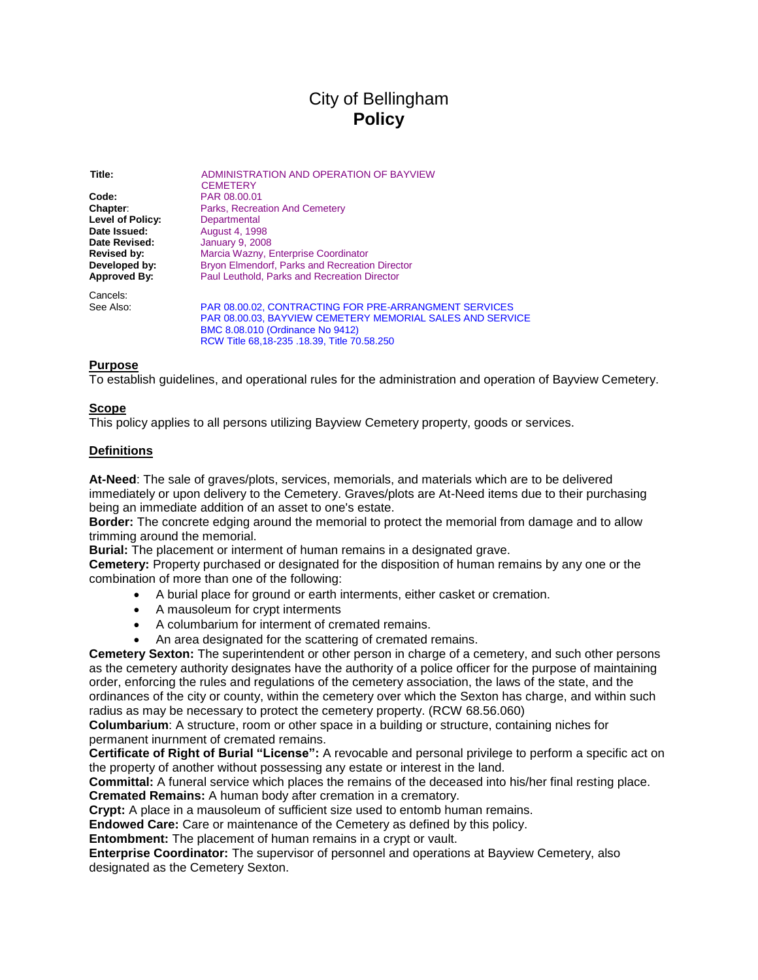# City of Bellingham **Policy**

**Title:** ADMINISTRATION AND OPERATION OF BAYVIEW **CEMETERY Code:** PAR 08.00.01 **Chapter:** Parks, Recreation And Cemetery Level of Policy: Departmental **Date Issued:** August 4, 1998 **Date Revised:** January 9, 2008 **Revised by:** Marcia Wazny, Enterprise Coordinator<br> **Developed by:** Bryon Elmendorf, Parks and Recreatio **Bryon Elmendorf, Parks and Recreation Director Approved By:** Paul Leuthold, Parks and Recreation Director Cancels:<br>See Also: [PAR 08.00.02, CONTRACTING FOR PRE-ARRANGMENT SERVICES](notes:///8825635C004C783E/882561CF005E576588255F47006A220F/DD4914AC7E70CE6188256E290061FB4F) [PAR 08.00.03, BAYVIEW CEMETERY MEMORIAL SALES AND SERVICE](notes:///8825635C004C783E/882561CF005E576588255F47006A220F/CB31FE16CB34269388256F0B0051B417) [BMC 8.08.010 \(Ordinance No 9412\)](http://www.cob.org/web/bmcode.nsf/f6281a531e9ead4588257384007b2367/e0ba43db6e75581c8825615c007ef3e9?OpenDocument)

[RCW Title 68,18-235 .18.39, Title 70.58.250](http://app.leg.wa.gov/rcw/default.aspx?Cite=68)

#### **Purpose**

To establish guidelines, and operational rules for the administration and operation of Bayview Cemetery.

#### **Scope**

This policy applies to all persons utilizing Bayview Cemetery property, goods or services.

#### **Definitions**

**At-Need**: The sale of graves/plots, services, memorials, and materials which are to be delivered immediately or upon delivery to the Cemetery. Graves/plots are At-Need items due to their purchasing being an immediate addition of an asset to one's estate.

**Border:** The concrete edging around the memorial to protect the memorial from damage and to allow trimming around the memorial.

**Burial:** The placement or interment of human remains in a designated grave.

**Cemetery:** Property purchased or designated for the disposition of human remains by any one or the combination of more than one of the following:

- A burial place for ground or earth interments, either casket or cremation.
- A mausoleum for crypt interments
- A columbarium for interment of cremated remains.
- An area designated for the scattering of cremated remains.

**Cemetery Sexton:** The superintendent or other person in charge of a cemetery, and such other persons as the cemetery authority designates have the authority of a police officer for the purpose of maintaining order, enforcing the rules and regulations of the cemetery association, the laws of the state, and the ordinances of the city or county, within the cemetery over which the Sexton has charge, and within such radius as may be necessary to protect the cemetery property. (RCW 68.56.060)

**Columbarium**: A structure, room or other space in a building or structure, containing niches for permanent inurnment of cremated remains.

**Certificate of Right of Burial "License":** A revocable and personal privilege to perform a specific act on the property of another without possessing any estate or interest in the land.

**Committal:** A funeral service which places the remains of the deceased into his/her final resting place. **Cremated Remains:** A human body after cremation in a crematory.

**Crypt:** A place in a mausoleum of sufficient size used to entomb human remains.

**Endowed Care:** Care or maintenance of the Cemetery as defined by this policy.

**Entombment:** The placement of human remains in a crypt or vault.

**Enterprise Coordinator:** The supervisor of personnel and operations at Bayview Cemetery, also designated as the Cemetery Sexton.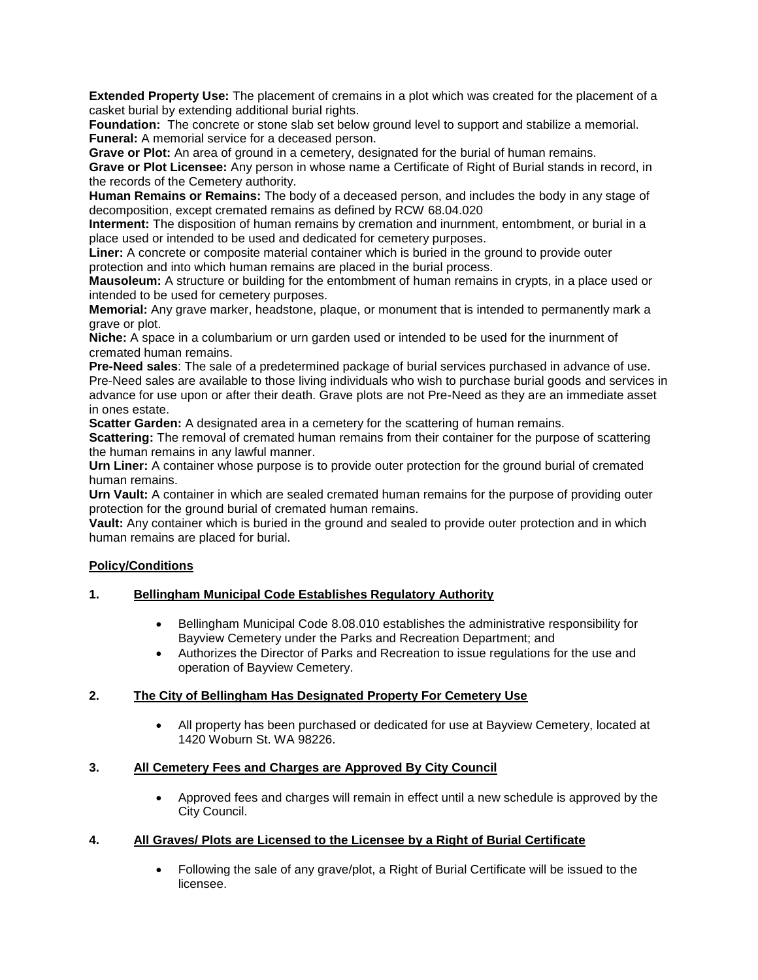**Extended Property Use:** The placement of cremains in a plot which was created for the placement of a casket burial by extending additional burial rights.

**Foundation:** The concrete or stone slab set below ground level to support and stabilize a memorial. **Funeral:** A memorial service for a deceased person.

**Grave or Plot:** An area of ground in a cemetery, designated for the burial of human remains.

**Grave or Plot Licensee:** Any person in whose name a Certificate of Right of Burial stands in record, in the records of the Cemetery authority.

**Human Remains or Remains:** The body of a deceased person, and includes the body in any stage of decomposition, except cremated remains as defined by RCW 68.04.020

**Interment:** The disposition of human remains by cremation and inurnment, entombment, or burial in a place used or intended to be used and dedicated for cemetery purposes.

**Liner:** A concrete or composite material container which is buried in the ground to provide outer protection and into which human remains are placed in the burial process.

**Mausoleum:** A structure or building for the entombment of human remains in crypts, in a place used or intended to be used for cemetery purposes.

**Memorial:** Any grave marker, headstone, plaque, or monument that is intended to permanently mark a grave or plot.

**Niche:** A space in a columbarium or urn garden used or intended to be used for the inurnment of cremated human remains.

**Pre-Need sales**: The sale of a predetermined package of burial services purchased in advance of use. Pre-Need sales are available to those living individuals who wish to purchase burial goods and services in advance for use upon or after their death. Grave plots are not Pre-Need as they are an immediate asset in ones estate.

**Scatter Garden:** A designated area in a cemetery for the scattering of human remains.

**Scattering:** The removal of cremated human remains from their container for the purpose of scattering the human remains in any lawful manner.

**Urn Liner:** A container whose purpose is to provide outer protection for the ground burial of cremated human remains.

**Urn Vault:** A container in which are sealed cremated human remains for the purpose of providing outer protection for the ground burial of cremated human remains.

**Vault:** Any container which is buried in the ground and sealed to provide outer protection and in which human remains are placed for burial.

## **Policy/Conditions**

#### **1. Bellingham Municipal Code Establishes Regulatory Authority**

- Bellingham Municipal Code 8.08.010 establishes the administrative responsibility for Bayview Cemetery under the Parks and Recreation Department; and
- Authorizes the Director of Parks and Recreation to issue regulations for the use and operation of Bayview Cemetery.

#### **2. The City of Bellingham Has Designated Property For Cemetery Use**

 All property has been purchased or dedicated for use at Bayview Cemetery, located at 1420 Woburn St. WA 98226.

#### **3. All Cemetery Fees and Charges are Approved By City Council**

 Approved fees and charges will remain in effect until a new schedule is approved by the City Council.

#### **4. All Graves/ Plots are Licensed to the Licensee by a Right of Burial Certificate**

 Following the sale of any grave/plot, a Right of Burial Certificate will be issued to the licensee.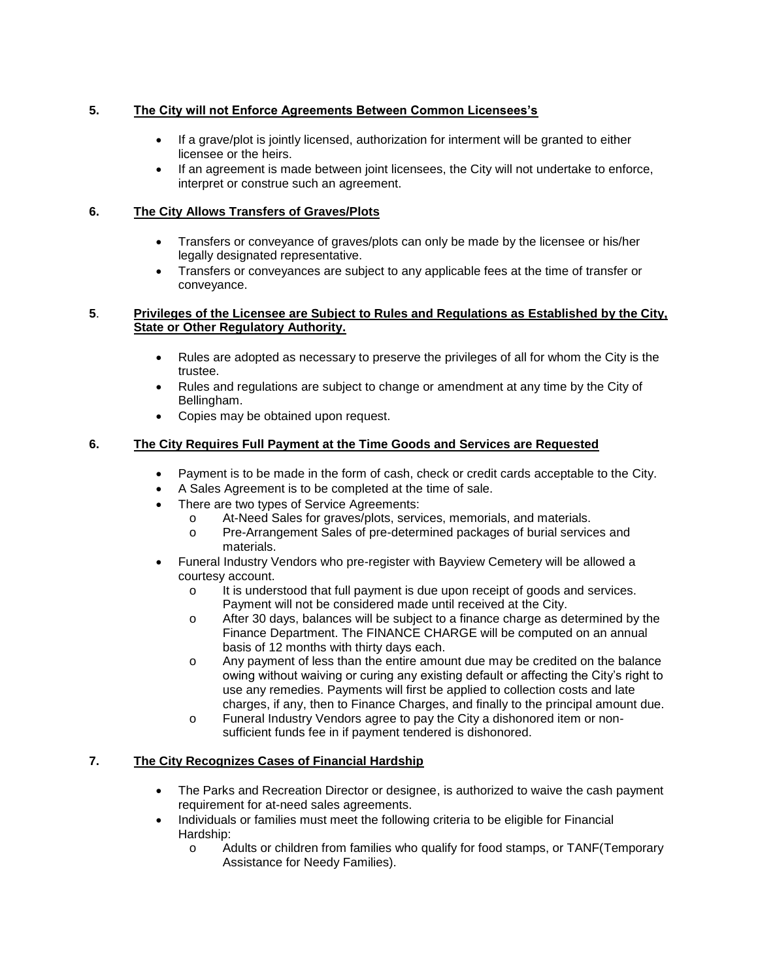# **5. The City will not Enforce Agreements Between Common Licensees's**

- If a grave/plot is jointly licensed, authorization for interment will be granted to either licensee or the heirs.
- If an agreement is made between joint licensees, the City will not undertake to enforce, interpret or construe such an agreement.

## **6. The City Allows Transfers of Graves/Plots**

- Transfers or conveyance of graves/plots can only be made by the licensee or his/her legally designated representative.
- Transfers or conveyances are subject to any applicable fees at the time of transfer or conveyance.

#### **5**. **Privileges of the Licensee are Subject to Rules and Regulations as Established by the City, State or Other Regulatory Authority.**

- Rules are adopted as necessary to preserve the privileges of all for whom the City is the trustee.
- Rules and regulations are subject to change or amendment at any time by the City of Bellingham.
- Copies may be obtained upon request.

# **6. The City Requires Full Payment at the Time Goods and Services are Requested**

- Payment is to be made in the form of cash, check or credit cards acceptable to the City.
- A Sales Agreement is to be completed at the time of sale.
- There are two types of Service Agreements:
	- o At-Need Sales for graves/plots, services, memorials, and materials.
	- o Pre-Arrangement Sales of pre-determined packages of burial services and materials.
- Funeral Industry Vendors who pre-register with Bayview Cemetery will be allowed a courtesy account.
	- o It is understood that full payment is due upon receipt of goods and services. Payment will not be considered made until received at the City.
	- o After 30 days, balances will be subject to a finance charge as determined by the Finance Department. The FINANCE CHARGE will be computed on an annual basis of 12 months with thirty days each.
	- o Any payment of less than the entire amount due may be credited on the balance owing without waiving or curing any existing default or affecting the City's right to use any remedies. Payments will first be applied to collection costs and late charges, if any, then to Finance Charges, and finally to the principal amount due.
	- o Funeral Industry Vendors agree to pay the City a dishonored item or nonsufficient funds fee in if payment tendered is dishonored.

## **7. The City Recognizes Cases of Financial Hardship**

- The Parks and Recreation Director or designee, is authorized to waive the cash payment requirement for at-need sales agreements.
- Individuals or families must meet the following criteria to be eligible for Financial Hardship:
	- o Adults or children from families who qualify for food stamps, or TANF(Temporary Assistance for Needy Families).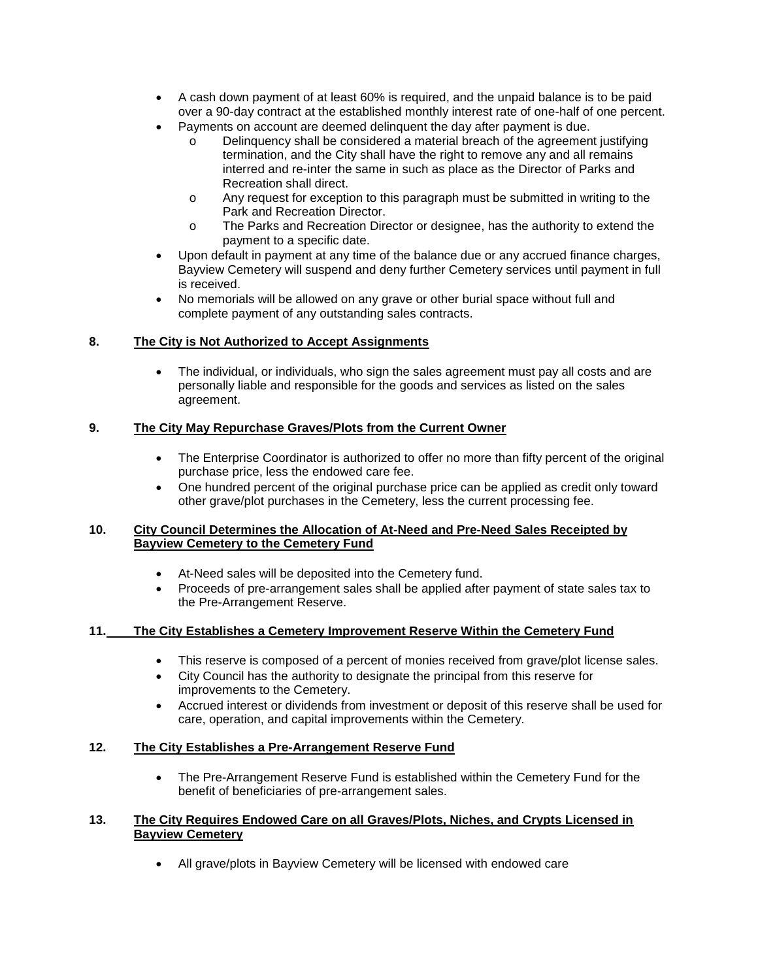- A cash down payment of at least 60% is required, and the unpaid balance is to be paid over a 90-day contract at the established monthly interest rate of one-half of one percent.
- Payments on account are deemed delinquent the day after payment is due.
	- o Delinquency shall be considered a material breach of the agreement justifying termination, and the City shall have the right to remove any and all remains interred and re-inter the same in such as place as the Director of Parks and Recreation shall direct.
	- o Any request for exception to this paragraph must be submitted in writing to the Park and Recreation Director.
	- o The Parks and Recreation Director or designee, has the authority to extend the payment to a specific date.
- Upon default in payment at any time of the balance due or any accrued finance charges, Bayview Cemetery will suspend and deny further Cemetery services until payment in full is received.
- No memorials will be allowed on any grave or other burial space without full and complete payment of any outstanding sales contracts.

## **8. The City is Not Authorized to Accept Assignments**

 The individual, or individuals, who sign the sales agreement must pay all costs and are personally liable and responsible for the goods and services as listed on the sales agreement.

## **9. The City May Repurchase Graves/Plots from the Current Owner**

- The Enterprise Coordinator is authorized to offer no more than fifty percent of the original purchase price, less the endowed care fee.
- One hundred percent of the original purchase price can be applied as credit only toward other grave/plot purchases in the Cemetery, less the current processing fee.

#### **10. City Council Determines the Allocation of At-Need and Pre-Need Sales Receipted by Bayview Cemetery to the Cemetery Fund**

- At-Need sales will be deposited into the Cemetery fund.
- Proceeds of pre-arrangement sales shall be applied after payment of state sales tax to the Pre-Arrangement Reserve.

## **11. The City Establishes a Cemetery Improvement Reserve Within the Cemetery Fund**

- This reserve is composed of a percent of monies received from grave/plot license sales.
- City Council has the authority to designate the principal from this reserve for improvements to the Cemetery.
- Accrued interest or dividends from investment or deposit of this reserve shall be used for care, operation, and capital improvements within the Cemetery.

## **12. The City Establishes a Pre-Arrangement Reserve Fund**

 The Pre-Arrangement Reserve Fund is established within the Cemetery Fund for the benefit of beneficiaries of pre-arrangement sales.

#### **13. The City Requires Endowed Care on all Graves/Plots, Niches, and Crypts Licensed in Bayview Cemetery**

All grave/plots in Bayview Cemetery will be licensed with endowed care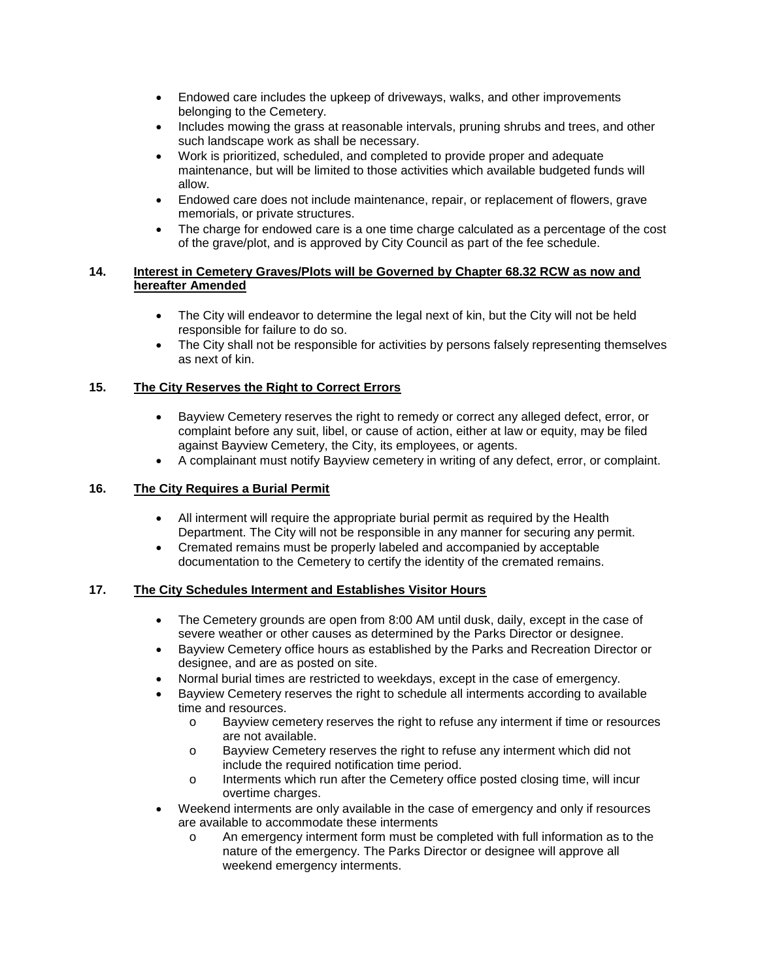- Endowed care includes the upkeep of driveways, walks, and other improvements belonging to the Cemetery.
- Includes mowing the grass at reasonable intervals, pruning shrubs and trees, and other such landscape work as shall be necessary.
- Work is prioritized, scheduled, and completed to provide proper and adequate maintenance, but will be limited to those activities which available budgeted funds will allow.
- Endowed care does not include maintenance, repair, or replacement of flowers, grave memorials, or private structures.
- The charge for endowed care is a one time charge calculated as a percentage of the cost of the grave/plot, and is approved by City Council as part of the fee schedule.

#### **14. Interest in Cemetery Graves/Plots will be Governed by Chapter 68.32 RCW as now and hereafter Amended**

- The City will endeavor to determine the legal next of kin, but the City will not be held responsible for failure to do so.
- The City shall not be responsible for activities by persons falsely representing themselves as next of kin.

# **15. The City Reserves the Right to Correct Errors**

- Bayview Cemetery reserves the right to remedy or correct any alleged defect, error, or complaint before any suit, libel, or cause of action, either at law or equity, may be filed against Bayview Cemetery, the City, its employees, or agents.
- A complainant must notify Bayview cemetery in writing of any defect, error, or complaint.

## **16. The City Requires a Burial Permit**

- All interment will require the appropriate burial permit as required by the Health Department. The City will not be responsible in any manner for securing any permit.
- Cremated remains must be properly labeled and accompanied by acceptable documentation to the Cemetery to certify the identity of the cremated remains.

#### **17. The City Schedules Interment and Establishes Visitor Hours**

- The Cemetery grounds are open from 8:00 AM until dusk, daily, except in the case of severe weather or other causes as determined by the Parks Director or designee.
- Bayview Cemetery office hours as established by the Parks and Recreation Director or designee, and are as posted on site.
- Normal burial times are restricted to weekdays, except in the case of emergency.
- Bayview Cemetery reserves the right to schedule all interments according to available time and resources.
	- o Bayview cemetery reserves the right to refuse any interment if time or resources are not available.
	- o Bayview Cemetery reserves the right to refuse any interment which did not include the required notification time period.
	- o Interments which run after the Cemetery office posted closing time, will incur overtime charges.
- Weekend interments are only available in the case of emergency and only if resources are available to accommodate these interments
	- o An emergency interment form must be completed with full information as to the nature of the emergency. The Parks Director or designee will approve all weekend emergency interments.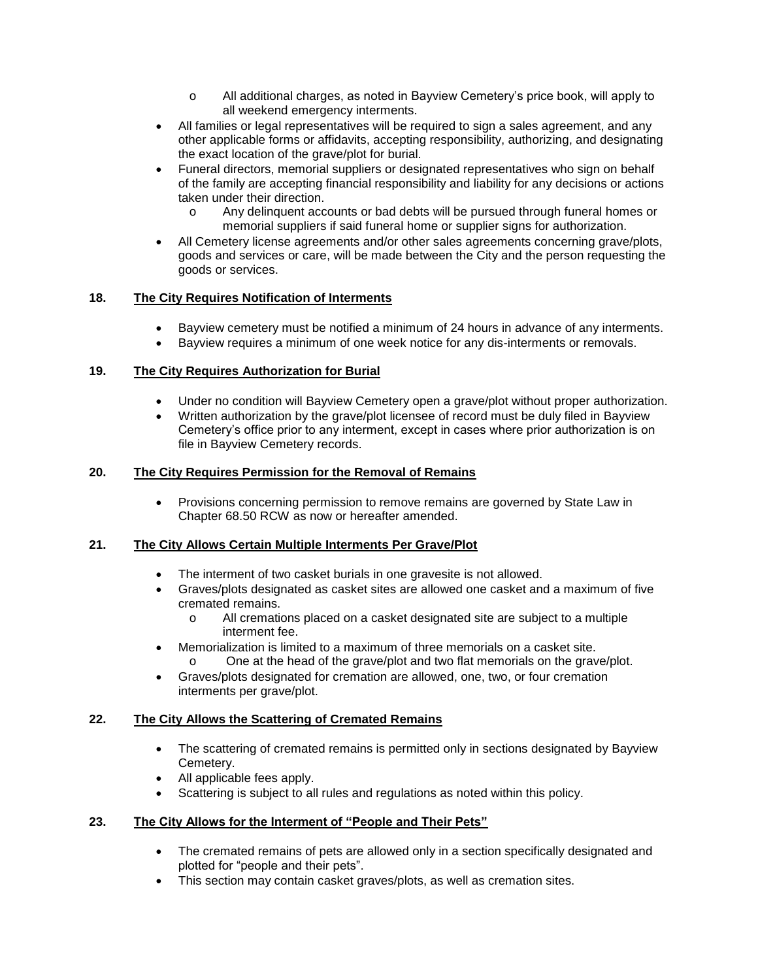- o All additional charges, as noted in Bayview Cemetery's price book, will apply to all weekend emergency interments.
- All families or legal representatives will be required to sign a sales agreement, and any other applicable forms or affidavits, accepting responsibility, authorizing, and designating the exact location of the grave/plot for burial.
- Funeral directors, memorial suppliers or designated representatives who sign on behalf of the family are accepting financial responsibility and liability for any decisions or actions taken under their direction.
	- o Any delinquent accounts or bad debts will be pursued through funeral homes or memorial suppliers if said funeral home or supplier signs for authorization.
- All Cemetery license agreements and/or other sales agreements concerning grave/plots, goods and services or care, will be made between the City and the person requesting the goods or services.

# **18. The City Requires Notification of Interments**

- Bayview cemetery must be notified a minimum of 24 hours in advance of any interments.
- Bayview requires a minimum of one week notice for any dis-interments or removals.

# **19. The City Requires Authorization for Burial**

- Under no condition will Bayview Cemetery open a grave/plot without proper authorization.
- Written authorization by the grave/plot licensee of record must be duly filed in Bayview Cemetery's office prior to any interment, except in cases where prior authorization is on file in Bayview Cemetery records.

# **20. The City Requires Permission for the Removal of Remains**

 Provisions concerning permission to remove remains are governed by State Law in Chapter 68.50 RCW as now or hereafter amended.

## **21. The City Allows Certain Multiple Interments Per Grave/Plot**

- The interment of two casket burials in one gravesite is not allowed.
- Graves/plots designated as casket sites are allowed one casket and a maximum of five cremated remains.
	- o All cremations placed on a casket designated site are subject to a multiple interment fee.
- Memorialization is limited to a maximum of three memorials on a casket site. o One at the head of the grave/plot and two flat memorials on the grave/plot.
- Graves/plots designated for cremation are allowed, one, two, or four cremation interments per grave/plot.

## **22. The City Allows the Scattering of Cremated Remains**

- The scattering of cremated remains is permitted only in sections designated by Bayview Cemetery.
- All applicable fees apply.
- Scattering is subject to all rules and regulations as noted within this policy.

## **23. The City Allows for the Interment of "People and Their Pets"**

- The cremated remains of pets are allowed only in a section specifically designated and plotted for "people and their pets".
- This section may contain casket graves/plots, as well as cremation sites.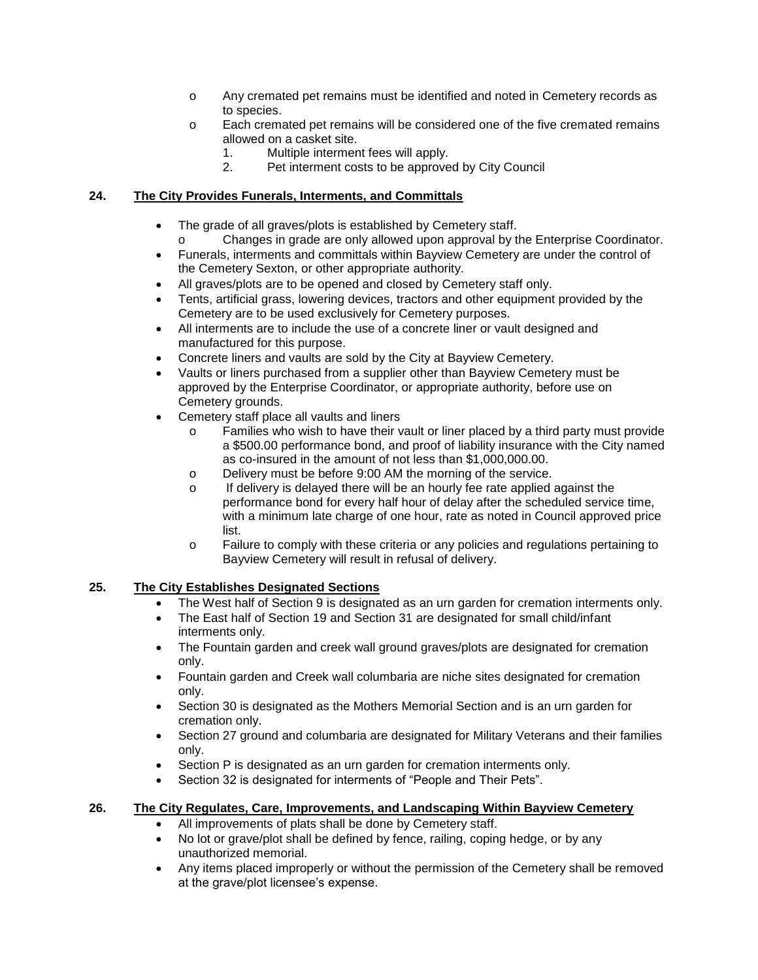- o Any cremated pet remains must be identified and noted in Cemetery records as to species.
- o Each cremated pet remains will be considered one of the five cremated remains allowed on a casket site.
	- 1. Multiple interment fees will apply.
	- 2. Pet interment costs to be approved by City Council

## **24. The City Provides Funerals, Interments, and Committals**

- The grade of all graves/plots is established by Cemetery staff.
- o Changes in grade are only allowed upon approval by the Enterprise Coordinator.
- Funerals, interments and committals within Bayview Cemetery are under the control of the Cemetery Sexton, or other appropriate authority.
- All graves/plots are to be opened and closed by Cemetery staff only.
- Tents, artificial grass, lowering devices, tractors and other equipment provided by the Cemetery are to be used exclusively for Cemetery purposes.
- All interments are to include the use of a concrete liner or vault designed and manufactured for this purpose.
- Concrete liners and vaults are sold by the City at Bayview Cemetery.
- Vaults or liners purchased from a supplier other than Bayview Cemetery must be approved by the Enterprise Coordinator, or appropriate authority, before use on Cemetery grounds.
- Cemetery staff place all vaults and liners
	- o Families who wish to have their vault or liner placed by a third party must provide a \$500.00 performance bond, and proof of liability insurance with the City named as co-insured in the amount of not less than \$1,000,000.00.
	- o Delivery must be before 9:00 AM the morning of the service.
	- o If delivery is delayed there will be an hourly fee rate applied against the performance bond for every half hour of delay after the scheduled service time, with a minimum late charge of one hour, rate as noted in Council approved price list.
	- o Failure to comply with these criteria or any policies and regulations pertaining to Bayview Cemetery will result in refusal of delivery.

# **25. The City Establishes Designated Sections**

- The West half of Section 9 is designated as an urn garden for cremation interments only.
- The East half of Section 19 and Section 31 are designated for small child/infant interments only.
- The Fountain garden and creek wall ground graves/plots are designated for cremation only.
- Fountain garden and Creek wall columbaria are niche sites designated for cremation only.
- Section 30 is designated as the Mothers Memorial Section and is an urn garden for cremation only.
- Section 27 ground and columbaria are designated for Military Veterans and their families only.
- Section P is designated as an urn garden for cremation interments only.
- Section 32 is designated for interments of "People and Their Pets".

## **26. The City Regulates, Care, Improvements, and Landscaping Within Bayview Cemetery**

- All improvements of plats shall be done by Cemetery staff.
- No lot or grave/plot shall be defined by fence, railing, coping hedge, or by any unauthorized memorial.
- Any items placed improperly or without the permission of the Cemetery shall be removed at the grave/plot licensee's expense.